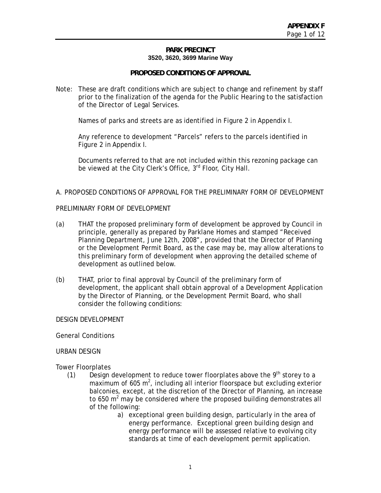### **PARK PRECINCT 3520, 3620, 3699 Marine Way**

### **PROPOSED CONDITIONS OF APPROVAL**

Note: These are draft conditions which are subject to change and refinement by staff prior to the finalization of the agenda for the Public Hearing to the satisfaction of the Director of Legal Services.

Names of parks and streets are as identified in Figure 2 in Appendix I.

Any reference to development "Parcels" refers to the parcels identified in Figure 2 in Appendix I.

Documents referred to that are not included within this rezoning package can be viewed at the City Clerk's Office, 3<sup>rd</sup> Floor, City Hall.

### A. PROPOSED CONDITIONS OF APPROVAL FOR THE PRELIMINARY FORM OF DEVELOPMENT

### PRELIMINARY FORM OF DEVELOPMENT

- (a) THAT the proposed preliminary form of development be approved by Council in principle, generally as prepared by Parklane Homes and stamped "Received Planning Department, June 12th, 2008"*,* provided that the Director of Planning or the Development Permit Board, as the case may be, may allow alterations to this preliminary form of development when approving the detailed scheme of development as outlined below.
- (b) THAT, prior to final approval by Council of the preliminary form of development, the applicant shall obtain approval of a Development Application by the Director of Planning, or the Development Permit Board, who shall consider the following conditions:

### DESIGN DEVELOPMENT

General Conditions

### URBAN DESIGN

Tower Floorplates

- (1) Design development to reduce tower floorplates above the  $9<sup>th</sup>$  storey to a maximum of  $605 \text{ m}^2$ , including all interior floorspace but excluding exterior balconies, except, at the discretion of the Director of Planning, an increase to 650  $m^2$  may be considered where the proposed building demonstrates all of the following:
	- a) exceptional green building design, particularly in the area of energy performance. Exceptional green building design and energy performance will be assessed relative to evolving city standards at time of each development permit application.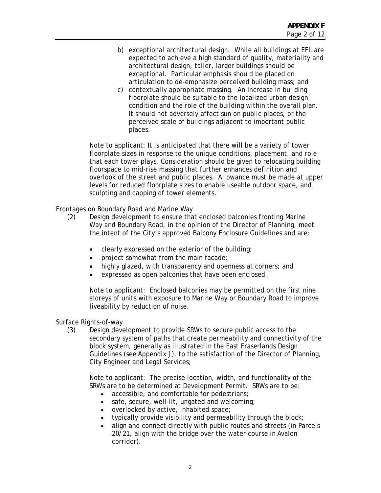- b) exceptional architectural design. While all buildings at EFL are expected to achieve a high standard of quality, materiality and architectural design, taller, larger buildings should be exceptional. Particular emphasis should be placed on articulation to de-emphasize perceived building mass; and
- c) contextually appropriate massing. An increase in building floorplate should be suitable to the localized urban design condition and the role of the building within the overall plan. It should not adversely affect sun on public places, or the perceived scale of buildings adjacent to important public places.

Note to applicant: It is anticipated that there will be a variety of tower floorplate sizes in response to the unique conditions, placement, and role that each tower plays. Consideration should be given to relocating building floorspace to mid-rise massing that further enhances definition and overlook of the street and public places. Allowance must be made at upper levels for reduced floorplate sizes to enable useable outdoor space, and sculpting and capping of tower elements.

Frontages on Boundary Road and Marine Way

- (2) Design development to ensure that enclosed balconies fronting Marine Way and Boundary Road, in the opinion of the Director of Planning, meet the intent of the City's approved Balcony Enclosure Guidelines and are:
	- clearly expressed on the exterior of the building;
	- project somewhat from the main façade;
	- highly glazed, with transparency and openness at corners; and
	- expressed as open balconies that have been enclosed.

Note to applicant: Enclosed balconies may be permitted on the first nine storeys of units with exposure to Marine Way or Boundary Road to improve liveability by reduction of noise.

Surface Rights-of-way

(3) Design development to provide SRWs to secure public access to the secondary system of paths that create permeability and connectivity of the block system, generally as illustrated in the East Fraserlands Design Guidelines (see Appendix J), to the satisfaction of the Director of Planning, City Engineer and Legal Services;

Note to applicant: The precise location, width, and functionality of the SRWs are to be determined at Development Permit. SRWs are to be:

- accessible, and comfortable for pedestrians;
- safe, secure, well-lit, ungated and welcoming;
- overlooked by active, inhabited space;
- typically provide visibility and permeability through the block;
- align and connect directly with public routes and streets (in Parcels 20/21, align with the bridge over the water course in Avalon corridor).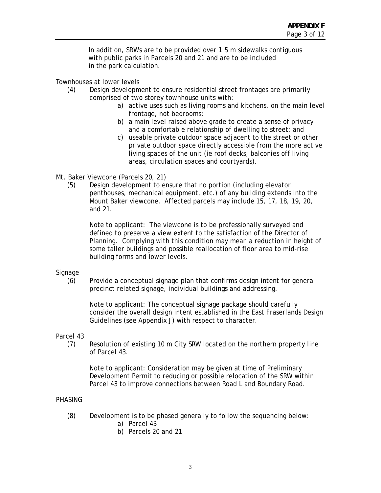In addition, SRWs are to be provided over 1.5 m sidewalks contiguous with public parks in Parcels 20 and 21 and are to be included in the park calculation.

Townhouses at lower levels

- (4) Design development to ensure residential street frontages are primarily comprised of two storey townhouse units with:
	- a) active uses such as living rooms and kitchens, on the main level frontage, not bedrooms;
	- b) a main level raised above grade to create a sense of privacy and a comfortable relationship of dwelling to street; and
	- c) useable private outdoor space adjacent to the street or other private outdoor space directly accessible from the more active living spaces of the unit (ie roof decks, balconies off living areas, circulation spaces and courtyards).
- Mt. Baker Viewcone (Parcels 20, 21)
	- (5) Design development to ensure that no portion (including elevator penthouses, mechanical equipment, etc.) of any building extends into the Mount Baker viewcone. Affected parcels may include 15, 17, 18, 19, 20, and 21.

Note to applicant: The viewcone is to be professionally surveyed and defined to preserve a view extent to the satisfaction of the Director of Planning. Complying with this condition may mean a reduction in height of some taller buildings and possible reallocation of floor area to mid-rise building forms and lower levels.

### Signage

(6) Provide a conceptual signage plan that confirms design intent for general precinct related signage, individual buildings and addressing.

Note to applicant: The conceptual signage package should carefully consider the overall design intent established in the East Fraserlands Design Guidelines (see Appendix J) with respect to character.

### Parcel 43

(7) Resolution of existing 10 m City SRW located on the northern property line of Parcel 43.

Note to applicant: Consideration may be given at time of Preliminary Development Permit to reducing or possible relocation of the SRW within Parcel 43 to improve connections between Road L and Boundary Road.

## PHASING

- (8) Development is to be phased generally to follow the sequencing below:
	- a) Parcel 43
	- b) Parcels 20 and 21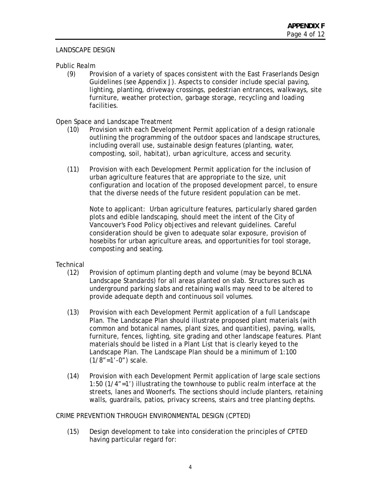# LANDSCAPE DESIGN

# Public Realm

(9) Provision of a variety of spaces consistent with the East Fraserlands Design Guidelines (see Appendix J). Aspects to consider include special paving, lighting, planting, driveway crossings, pedestrian entrances, walkways, site furniture, weather protection, garbage storage, recycling and loading facilities.

## Open Space and Landscape Treatment

- (10) Provision with each Development Permit application of a design rationale outlining the programming of the outdoor spaces and landscape structures, including overall use, sustainable design features (planting, water, composting, soil, habitat), urban agriculture, access and security.
- (11) Provision with each Development Permit application for the inclusion of urban agriculture features that are appropriate to the size, unit configuration and location of the proposed development parcel, to ensure that the diverse needs of the future resident population can be met.

Note to applicant: Urban agriculture features, particularly shared garden plots and edible landscaping, should meet the intent of the City of Vancouver's Food Policy objectives and relevant guidelines. Careful consideration should be given to adequate solar exposure, provision of hosebibs for urban agriculture areas, and opportunities for tool storage, composting and seating.

## **Technical**

- (12) Provision of optimum planting depth and volume (may be beyond BCLNA Landscape Standards) for all areas planted on slab. Structures such as underground parking slabs and retaining walls may need to be altered to provide adequate depth and continuous soil volumes.
- (13) Provision with each Development Permit application of a full Landscape Plan. The Landscape Plan should illustrate proposed plant materials (with common and botanical names, plant sizes, and quantities), paving, walls, furniture, fences, lighting, site grading and other landscape features. Plant materials should be listed in a Plant List that is clearly keyed to the Landscape Plan. The Landscape Plan should be a minimum of 1:100  $(1/8" = 1' - 0")$  scale.
- (14) Provision with each Development Permit application of large scale sections 1:50 (1/4"=1') illustrating the townhouse to public realm interface at the streets, lanes and Woonerfs. The sections should include planters, retaining walls, guardrails, patios, privacy screens, stairs and tree planting depths.

## CRIME PREVENTION THROUGH ENVIRONMENTAL DESIGN (CPTED)

(15) Design development to take into consideration the principles of CPTED having particular regard for: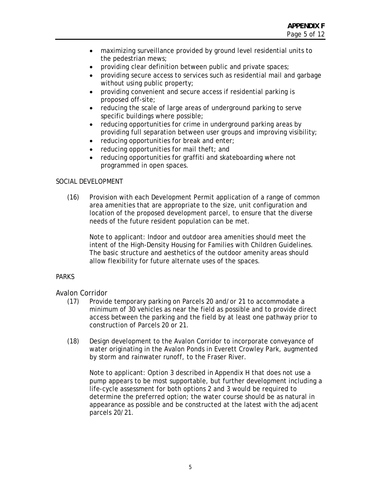- maximizing surveillance provided by ground level residential units to the pedestrian mews;
- providing clear definition between public and private spaces;
- providing secure access to services such as residential mail and garbage without using public property;
- providing convenient and secure access if residential parking is proposed off-site;
- reducing the scale of large areas of underground parking to serve specific buildings where possible;
- reducing opportunities for crime in underground parking areas by providing full separation between user groups and improving visibility;
- reducing opportunities for break and enter;
- reducing opportunities for mail theft; and
- reducing opportunities for graffiti and skateboarding where not programmed in open spaces.

## SOCIAL DEVELOPMENT

(16) Provision with each Development Permit application of a range of common area amenities that are appropriate to the size, unit configuration and location of the proposed development parcel, to ensure that the diverse needs of the future resident population can be met.

Note to applicant: Indoor and outdoor area amenities should meet the intent of the High-Density Housing for Families with Children Guidelines. The basic structure and aesthetics of the outdoor amenity areas should allow flexibility for future alternate uses of the spaces.

## PARKS

## Avalon Corridor

- (17) Provide temporary parking on Parcels 20 and/or 21 to accommodate a minimum of 30 vehicles as near the field as possible and to provide direct access between the parking and the field by at least one pathway prior to construction of Parcels 20 or 21.
- (18) Design development to the Avalon Corridor to incorporate conveyance of water originating in the Avalon Ponds in Everett Crowley Park, augmented by storm and rainwater runoff, to the Fraser River.

Note to applicant: Option 3 described in Appendix H that does not use a pump appears to be most supportable, but further development including a life-cycle assessment for both options 2 and 3 would be required to determine the preferred option; the water course should be as natural in appearance as possible and be constructed at the latest with the adjacent parcels 20/21.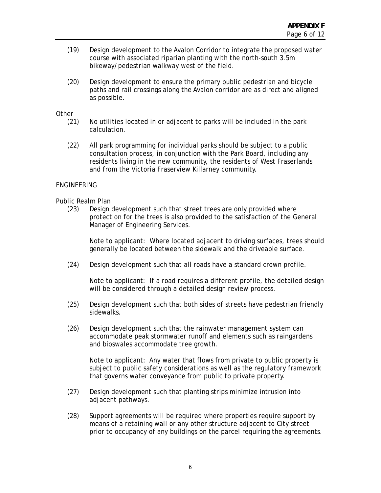- (19) Design development to the Avalon Corridor to integrate the proposed water course with associated riparian planting with the north-south 3.5m bikeway/pedestrian walkway west of the field.
- (20) Design development to ensure the primary public pedestrian and bicycle paths and rail crossings along the Avalon corridor are as direct and aligned as possible.

### **Other**

- (21) No utilities located in or adjacent to parks will be included in the park calculation.
- (22) All park programming for individual parks should be subject to a public consultation process, in conjunction with the Park Board, including any residents living in the new community, the residents of West Fraserlands and from the Victoria Fraserview Killarney community.

### ENGINEERING

### Public Realm Plan

(23) Design development such that street trees are only provided where protection for the trees is also provided to the satisfaction of the General Manager of Engineering Services.

Note to applicant: Where located adjacent to driving surfaces, trees should generally be located between the sidewalk and the driveable surface.

(24) Design development such that all roads have a standard crown profile.

Note to applicant: If a road requires a different profile, the detailed design will be considered through a detailed design review process.

- (25) Design development such that both sides of streets have pedestrian friendly sidewalks.
- (26) Design development such that the rainwater management system can accommodate peak stormwater runoff and elements such as raingardens and bioswales accommodate tree growth.

Note to applicant: Any water that flows from private to public property is subject to public safety considerations as well as the regulatory framework that governs water conveyance from public to private property.

- (27) Design development such that planting strips minimize intrusion into adjacent pathways.
- (28) Support agreements will be required where properties require support by means of a retaining wall or any other structure adjacent to City street prior to occupancy of any buildings on the parcel requiring the agreements.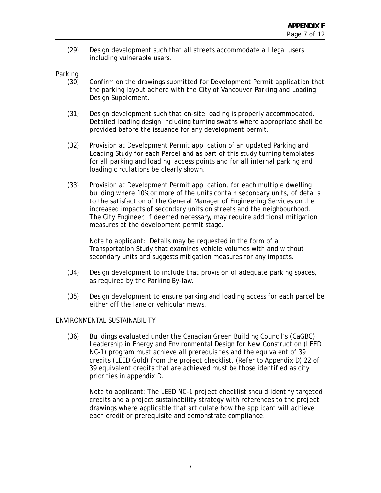(29) Design development such that all streets accommodate all legal users including vulnerable users.

### Parking

- (30) Confirm on the drawings submitted for Development Permit application that the parking layout adhere with the City of Vancouver Parking and Loading Design Supplement.
- (31) Design development such that on-site loading is properly accommodated. Detailed loading design including turning swaths where appropriate shall be provided before the issuance for any development permit.
- (32) Provision at Development Permit application of an updated Parking and Loading Study for each Parcel and as part of this study turning templates for all parking and loading access points and for all internal parking and loading circulations be clearly shown.
- (33) Provision at Development Permit application, for each multiple dwelling building where 10% or more of the units contain secondary units, of details to the satisfaction of the General Manager of Engineering Services on the increased impacts of secondary units on streets and the neighbourhood. The City Engineer, if deemed necessary, may require additional mitigation measures at the development permit stage.

Note to applicant: Details may be requested in the form of a Transportation Study that examines vehicle volumes with and without secondary units and suggests mitigation measures for any impacts.

- (34) Design development to include that provision of adequate parking spaces, as required by the Parking By-law.
- (35) Design development to ensure parking and loading access for each parcel be either off the lane or vehicular mews.

## ENVIRONMENTAL SUSTAINABILITY

(36) Buildings evaluated under the Canadian Green Building Council's (CaGBC) Leadership in Energy and Environmental Design for New Construction (LEED NC-1) program must achieve all prerequisites and the equivalent of 39 credits (LEED Gold) from the project checklist. (Refer to Appendix D) 22 of 39 equivalent credits that are achieved must be those identified as city priorities in appendix D.

Note to applicant: The LEED NC-1 project checklist should identify targeted credits and a project sustainability strategy with references to the project drawings where applicable that articulate how the applicant will achieve each credit or prerequisite and demonstrate compliance.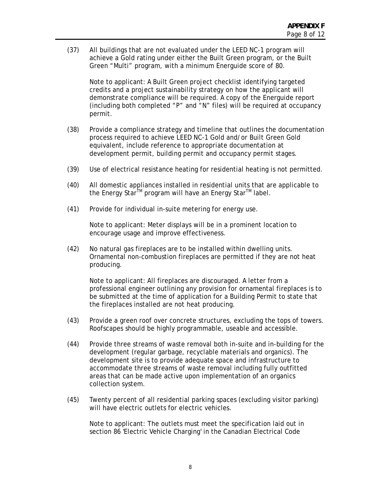(37) All buildings that are not evaluated under the LEED NC-1 program will achieve a Gold rating under either the Built Green program, or the Built Green "Multi" program, with a minimum Energuide score of 80.

Note to applicant: A Built Green project checklist identifying targeted credits and a project sustainability strategy on how the applicant will demonstrate compliance will be required. A copy of the Energuide report (including both completed "P" and "N" files) will be required at occupancy permit.

- (38) Provide a compliance strategy and timeline that outlines the documentation process required to achieve LEED NC-1 Gold and/or Built Green Gold equivalent, include reference to appropriate documentation at development permit, building permit and occupancy permit stages.
- (39) Use of electrical resistance heating for residential heating is not permitted.
- (40) All domestic appliances installed in residential units that are applicable to the Energy Star<sup>™</sup> program will have an Energy Star<sup>™</sup> label.
- (41) Provide for individual in-suite metering for energy use.

Note to applicant: Meter displays will be in a prominent location to encourage usage and improve effectiveness.

(42) No natural gas fireplaces are to be installed within dwelling units. Ornamental non-combustion fireplaces are permitted if they are not heat producing.

Note to applicant: All fireplaces are discouraged. A letter from a professional engineer outlining any provision for ornamental fireplaces is to be submitted at the time of application for a Building Permit to state that the fireplaces installed are not heat producing.

- (43) Provide a green roof over concrete structures, excluding the tops of towers. Roofscapes should be highly programmable, useable and accessible.
- (44) Provide three streams of waste removal both in-suite and in-building for the development (regular garbage, recyclable materials and organics). The development site is to provide adequate space and infrastructure to accommodate three streams of waste removal including fully outfitted areas that can be made active upon implementation of an organics collection system.
- (45) Twenty percent of all residential parking spaces (excluding visitor parking) will have electric outlets for electric vehicles.

Note to applicant: The outlets must meet the specification laid out in section 86 'Electric Vehicle Charging' in the Canadian Electrical Code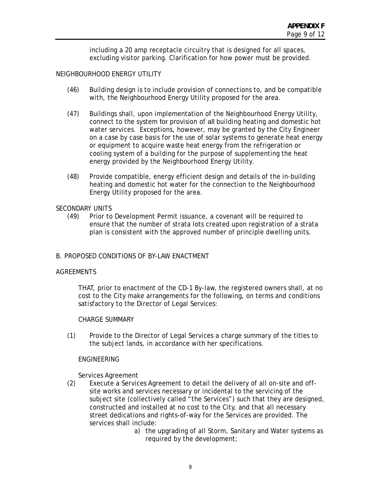including a 20 amp receptacle circuitry that is designed for all spaces, excluding visitor parking. Clarification for how power must be provided.

### NEIGHBOURHOOD ENERGY UTILITY

- (46) Building design is to include provision of connections to, and be compatible with, the Neighbourhood Energy Utility proposed for the area.
- (47) Buildings shall, upon implementation of the Neighbourhood Energy Utility, connect to the system for provision of all building heating and domestic hot water services. Exceptions, however, may be granted by the City Engineer on a case by case basis for the use of solar systems to generate heat energy or equipment to acquire waste heat energy from the refrigeration or cooling system of a building for the purpose of supplementing the heat energy provided by the Neighbourhood Energy Utility.
- (48) Provide compatible, energy efficient design and details of the in-building heating and domestic hot water for the connection to the Neighbourhood Energy Utility proposed for the area.

### SECONDARY UNITS

(49) Prior to Development Permit issuance, a covenant will be required to ensure that the number of strata lots created upon registration of a strata plan is consistent with the approved number of principle dwelling units.

### B. PROPOSED CONDITIONS OF BY-LAW ENACTMENT

### AGREEMENTS

 THAT, prior to enactment of the CD-1 By-law, the registered owners shall, at no cost to the City make arrangements for the following, on terms and conditions satisfactory to the Director of Legal Services:

### CHARGE SUMMARY

(1) Provide to the Director of Legal Services a charge summary of the titles to the subject lands, in accordance with her specifications.

### ENGINEERING

Services Agreement

- (2) Execute a Services Agreement to detail the delivery of all on-site and offsite works and services necessary or incidental to the servicing of the subject site (collectively called "the Services") such that they are designed, constructed and installed at no cost to the City, and that all necessary street dedications and rights-of-way for the Services are provided. The services shall include:
	- a) the upgrading of all Storm, Sanitary and Water systems as required by the development;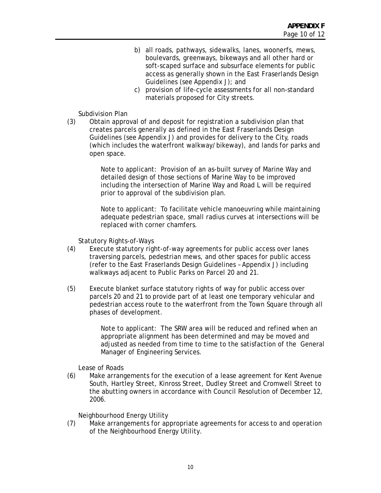- b) all roads, pathways, sidewalks, lanes, woonerfs, mews, boulevards, greenways, bikeways and all other hard or soft-scaped surface and subsurface elements for public access as generally shown in the East Fraserlands Design Guidelines (see Appendix J); and
- c) provision of life-cycle assessments for all non-standard materials proposed for City streets.

### Subdivision Plan

(3) Obtain approval of and deposit for registration a subdivision plan that creates parcels generally as defined in the East Fraserlands Design Guidelines (see Appendix J) and provides for delivery to the City, roads (which includes the waterfront walkway/bikeway), and lands for parks and open space.

> Note to applicant: Provision of an as-built survey of Marine Way and detailed design of those sections of Marine Way to be improved including the intersection of Marine Way and Road L will be required prior to approval of the subdivision plan.

Note to applicant: To facilitate vehicle manoeuvring while maintaining adequate pedestrian space, small radius curves at intersections will be replaced with corner chamfers.

Statutory Rights-of-Ways

- (4) Execute statutory right-of-way agreements for public access over lanes traversing parcels, pedestrian mews, and other spaces for public access (refer to the East Fraserlands Design Guidelines – Appendix J) including walkways adjacent to Public Parks on Parcel 20 and 21.
- (5) Execute blanket surface statutory rights of way for public access over parcels 20 and 21 to provide part of at least one temporary vehicular and pedestrian access route to the waterfront from the Town Square through all phases of development.

Note to applicant: The SRW area will be reduced and refined when an appropriate alignment has been determined and may be moved and adjusted as needed from time to time to the satisfaction of the General Manager of Engineering Services.

Lease of Roads

(6) Make arrangements for the execution of a lease agreement for Kent Avenue South, Hartley Street, Kinross Street, Dudley Street and Cromwell Street to the abutting owners in accordance with Council Resolution of December 12, 2006.

Neighbourhood Energy Utility

(7) Make arrangements for appropriate agreements for access to and operation of the Neighbourhood Energy Utility.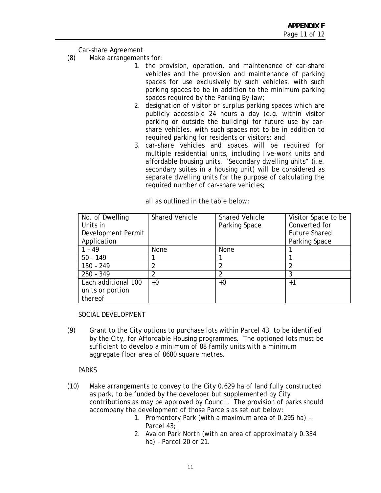Car-share Agreement

- (8) Make arrangements for:
	- 1. the provision, operation, and maintenance of car-share vehicles and the provision and maintenance of parking spaces for use exclusively by such vehicles, with such parking spaces to be in addition to the minimum parking spaces required by the Parking By-law;
	- 2. designation of visitor or surplus parking spaces which are publicly accessible 24 hours a day (e.g. within visitor parking or outside the building) for future use by carshare vehicles, with such spaces not to be in addition to required parking for residents or visitors; and
	- 3. car-share vehicles and spaces will be required for multiple residential units, including live-work units and affordable housing units. "Secondary dwelling units" (i.e. secondary suites in a housing unit) will be considered as separate dwelling units for the purpose of calculating the required number of car-share vehicles;

| No. of Dwelling     | <b>Shared Vehicle</b> | <b>Shared Vehicle</b> | Visitor Space to be  |
|---------------------|-----------------------|-----------------------|----------------------|
| Units in            |                       | Parking Space         | Converted for        |
| Development Permit  |                       |                       | <b>Future Shared</b> |
| Application         |                       |                       | Parking Space        |
| 1 - 49              | <b>None</b>           | None                  |                      |
| $50 - 149$          |                       |                       |                      |
| $150 - 249$         | 2                     |                       |                      |
| $250 - 349$         | 2                     | າ                     | 3                    |
| Each additional 100 | $+0$                  | +0                    | $+1$                 |
| units or portion    |                       |                       |                      |
| thereof             |                       |                       |                      |

all as outlined in the table below:

SOCIAL DEVELOPMENT

(9) Grant to the City options to purchase lots within Parcel 43, to be identified by the City, for Affordable Housing programmes. The optioned lots must be sufficient to develop a minimum of 88 family units with a minimum aggregate floor area of 8680 square metres.

PARKS

- (10) Make arrangements to convey to the City 0.629 ha of land fully constructed as park, to be funded by the developer but supplemented by City contributions as may be approved by Council. The provision of parks should accompany the development of those Parcels as set out below:
	- 1. Promontory Park (with a maximum area of 0.295 ha) Parcel 43;
	- 2. Avalon Park North (with an area of approximately 0.334 ha) – Parcel 20 or 21.